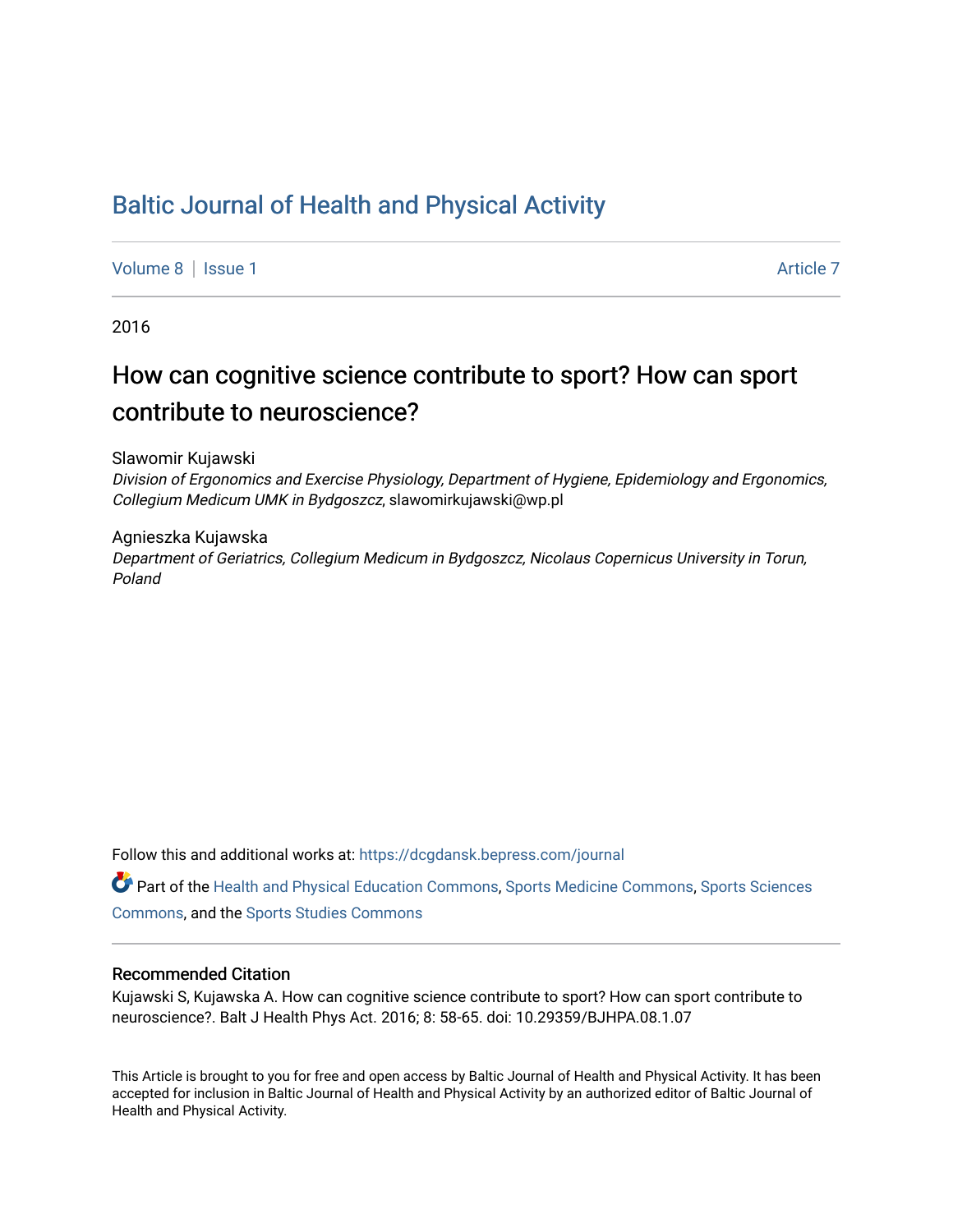## [Baltic Journal of Health and Physical Activity](https://dcgdansk.bepress.com/journal)

[Volume 8](https://dcgdansk.bepress.com/journal/vol8) | [Issue 1](https://dcgdansk.bepress.com/journal/vol8/iss1) Article 7

2016

## How can cognitive science contribute to sport? How can sport contribute to neuroscience?

Slawomir Kujawski

Division of Ergonomics and Exercise Physiology, Department of Hygiene, Epidemiology and Ergonomics, Collegium Medicum UMK in Bydgoszcz, slawomirkujawski@wp.pl

Agnieszka Kujawska Department of Geriatrics, Collegium Medicum in Bydgoszcz, Nicolaus Copernicus University in Torun, Poland

Follow this and additional works at: [https://dcgdansk.bepress.com/journal](https://dcgdansk.bepress.com/journal?utm_source=dcgdansk.bepress.com%2Fjournal%2Fvol8%2Fiss1%2F7&utm_medium=PDF&utm_campaign=PDFCoverPages)

Part of the [Health and Physical Education Commons](http://network.bepress.com/hgg/discipline/1327?utm_source=dcgdansk.bepress.com%2Fjournal%2Fvol8%2Fiss1%2F7&utm_medium=PDF&utm_campaign=PDFCoverPages), [Sports Medicine Commons,](http://network.bepress.com/hgg/discipline/1331?utm_source=dcgdansk.bepress.com%2Fjournal%2Fvol8%2Fiss1%2F7&utm_medium=PDF&utm_campaign=PDFCoverPages) [Sports Sciences](http://network.bepress.com/hgg/discipline/759?utm_source=dcgdansk.bepress.com%2Fjournal%2Fvol8%2Fiss1%2F7&utm_medium=PDF&utm_campaign=PDFCoverPages) [Commons](http://network.bepress.com/hgg/discipline/759?utm_source=dcgdansk.bepress.com%2Fjournal%2Fvol8%2Fiss1%2F7&utm_medium=PDF&utm_campaign=PDFCoverPages), and the [Sports Studies Commons](http://network.bepress.com/hgg/discipline/1198?utm_source=dcgdansk.bepress.com%2Fjournal%2Fvol8%2Fiss1%2F7&utm_medium=PDF&utm_campaign=PDFCoverPages) 

#### Recommended Citation

Kujawski S, Kujawska A. How can cognitive science contribute to sport? How can sport contribute to neuroscience?. Balt J Health Phys Act. 2016; 8: 58-65. doi: 10.29359/BJHPA.08.1.07

This Article is brought to you for free and open access by Baltic Journal of Health and Physical Activity. It has been accepted for inclusion in Baltic Journal of Health and Physical Activity by an authorized editor of Baltic Journal of Health and Physical Activity.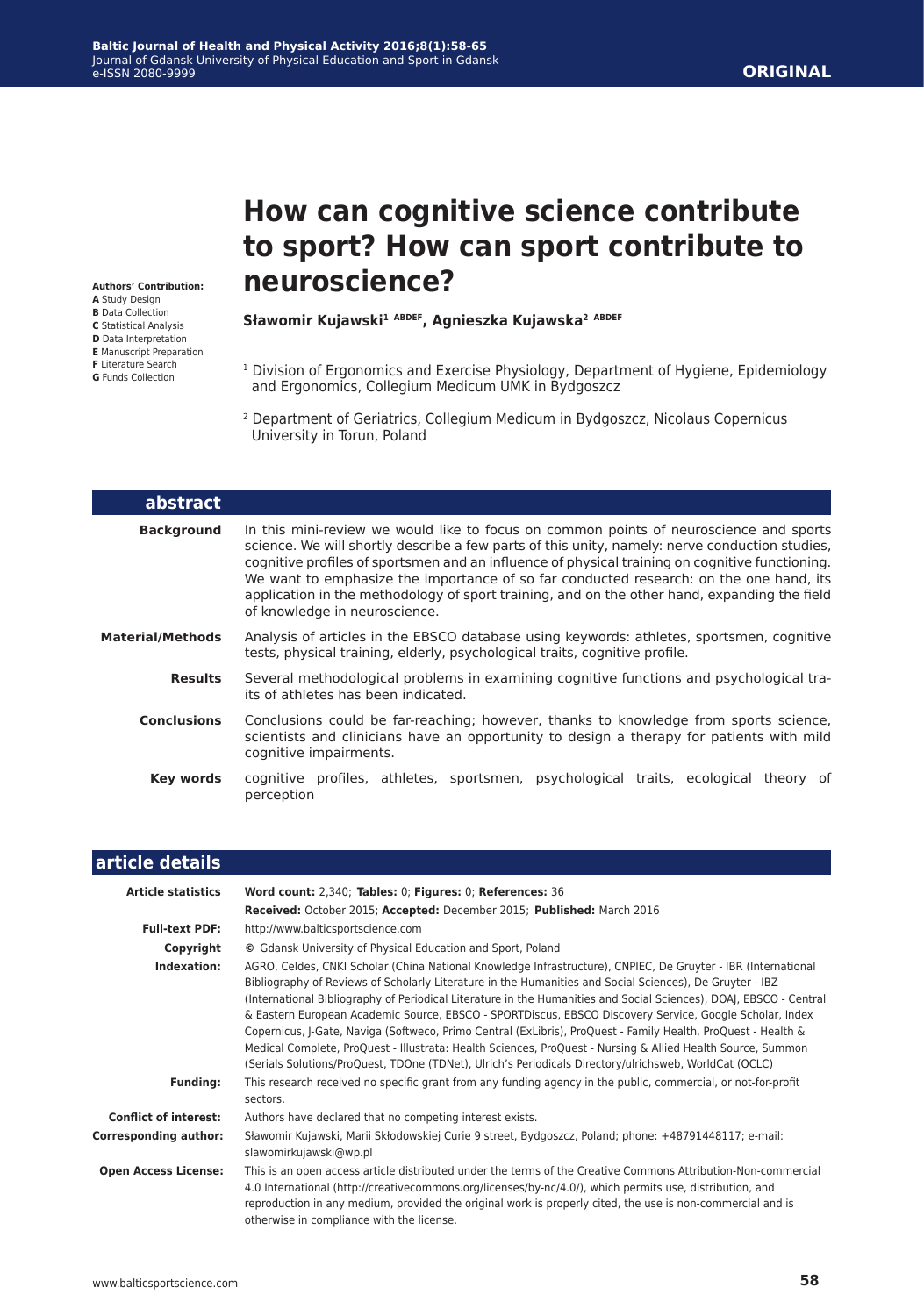#### **ORIGINAL**

**Authors' Contribution: A** Study Design **B** Data Collection **C** Statistical Analysis **D** Data Interpretation

- **E** Manuscript Preparation
- **F** Literature Search
- **G** Funds Collection

# **How can cognitive science contribute to sport? How can sport contribute to neuroscience?**

#### **Sławomir Kujawski1 ABDEF, Agnieszka Kujawska2 ABDEF**

- <sup>1</sup> Division of Ergonomics and Exercise Physiology, Department of Hygiene, Epidemiology and Ergonomics, Collegium Medicum UMK in Bydgoszcz
- <sup>2</sup> Department of Geriatrics, Collegium Medicum in Bydgoszcz, Nicolaus Copernicus University in Torun, Poland

| abstract                |                                                                                                                                                                                                                                                                                                                                                                                                                                                                                                                        |
|-------------------------|------------------------------------------------------------------------------------------------------------------------------------------------------------------------------------------------------------------------------------------------------------------------------------------------------------------------------------------------------------------------------------------------------------------------------------------------------------------------------------------------------------------------|
| <b>Background</b>       | In this mini-review we would like to focus on common points of neuroscience and sports<br>science. We will shortly describe a few parts of this unity, namely: nerve conduction studies,<br>cognitive profiles of sportsmen and an influence of physical training on cognitive functioning.<br>We want to emphasize the importance of so far conducted research: on the one hand, its<br>application in the methodology of sport training, and on the other hand, expanding the field<br>of knowledge in neuroscience. |
| <b>Material/Methods</b> | Analysis of articles in the EBSCO database using keywords: athletes, sportsmen, cognitive<br>tests, physical training, elderly, psychological traits, cognitive profile.                                                                                                                                                                                                                                                                                                                                               |
| <b>Results</b>          | Several methodological problems in examining cognitive functions and psychological tra-<br>its of athletes has been indicated.                                                                                                                                                                                                                                                                                                                                                                                         |
| <b>Conclusions</b>      | Conclusions could be far-reaching; however, thanks to knowledge from sports science,<br>scientists and clinicians have an opportunity to design a therapy for patients with mild<br>cognitive impairments.                                                                                                                                                                                                                                                                                                             |
| <b>Key words</b>        | cognitive profiles, athletes, sportsmen, psychological traits, ecological theory of<br>perception                                                                                                                                                                                                                                                                                                                                                                                                                      |

#### **article details Article statistics Word count:** 2,340; **Tables:** 0; **Figures:** 0; **References:** 36 **Received:** October 2015; **Accepted:** December 2015; **Published:** March 2016 **Full-text PDF:** http://www.balticsportscience.com **Copyright ©** Gdansk University of Physical Education and Sport, Poland **Indexation:** AGRO, Celdes, CNKI Scholar (China National Knowledge Infrastructure), CNPIEC, De Gruyter - IBR (International Bibliography of Reviews of Scholarly Literature in the Humanities and Social Sciences), De Gruyter - IBZ (International Bibliography of Periodical Literature in the Humanities and Social Sciences), DOAJ, EBSCO - Central & Eastern European Academic Source, EBSCO - SPORTDiscus, EBSCO Discovery Service, Google Scholar, Index Copernicus, J-Gate, Naviga (Softweco, Primo Central (ExLibris), ProQuest - Family Health, ProQuest - Health & Medical Complete, ProQuest - Illustrata: Health Sciences, ProQuest - Nursing & Allied Health Source, Summon (Serials Solutions/ProQuest, TDOne (TDNet), Ulrich's Periodicals Directory/ulrichsweb, WorldCat (OCLC) **Funding:** This research received no specific grant from any funding agency in the public, commercial, or not-for-profit sectors. **Conflict of interest:** Authors have declared that no competing interest exists. **Corresponding author:** Sławomir Kujawski, Marii Skłodowskiej Curie 9 street, Bydgoszcz, Poland; phone: +48791448117; e-mail: slawomirkujawski@wp.pl  **Open Access License:** This is an open access article distributed under the terms of the Creative Commons Attribution-Non-commercial 4.0 International (http://creativecommons.org/licenses/by-nc/4.0/), which permits use, distribution, and reproduction in any medium, provided the original work is properly cited, the use is non-commercial and is otherwise in compliance with the license.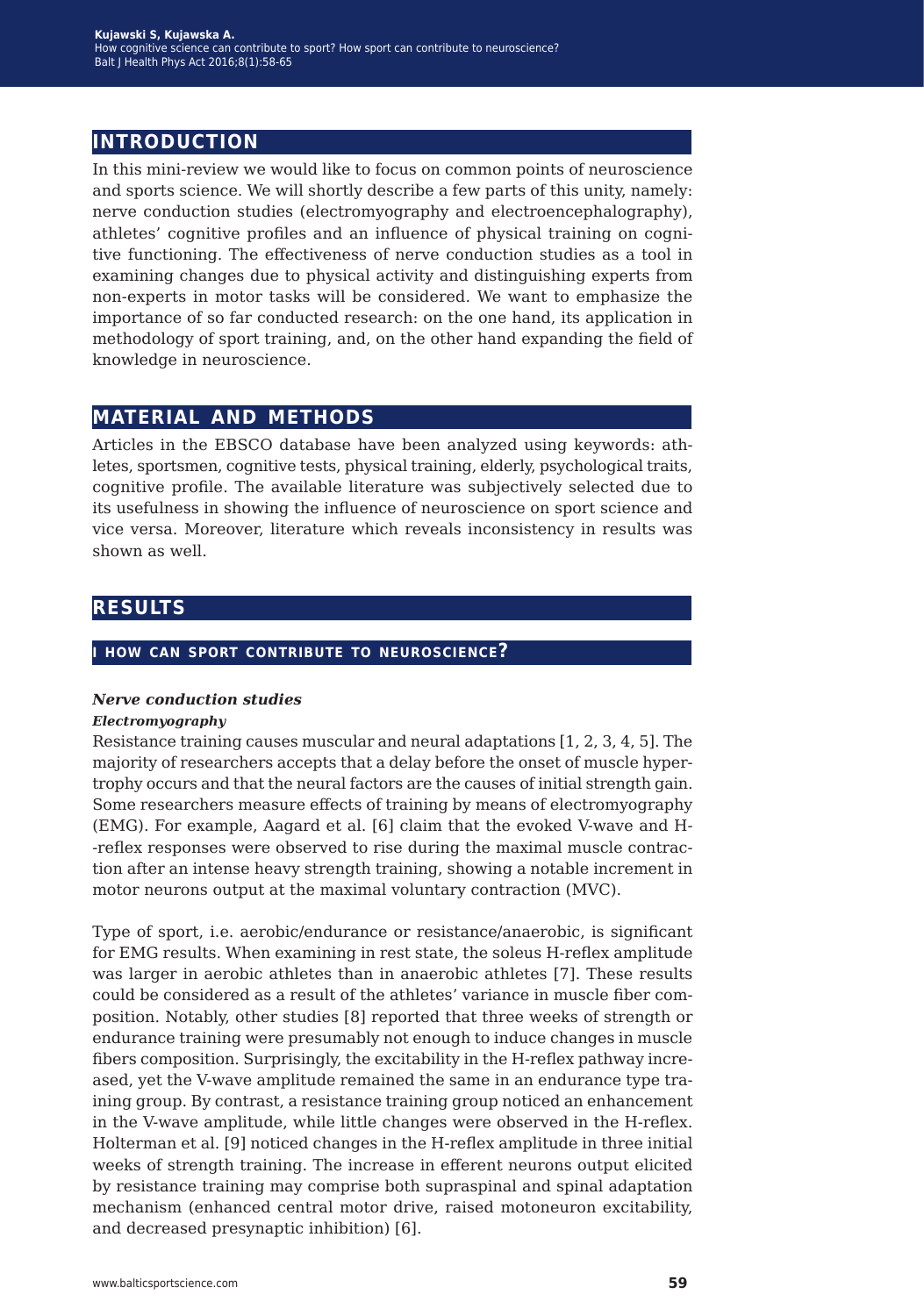## **introduction**

In this mini-review we would like to focus on common points of neuroscience and sports science. We will shortly describe a few parts of this unity, namely: nerve conduction studies (electromyography and electroencephalography), athletes' cognitive profiles and an influence of physical training on cognitive functioning. The effectiveness of nerve conduction studies as a tool in examining changes due to physical activity and distinguishing experts from non-experts in motor tasks will be considered. We want to emphasize the importance of so far conducted research: on the one hand, its application in methodology of sport training, and, on the other hand expanding the field of knowledge in neuroscience.

## **material and methods**

Articles in the EBSCO database have been analyzed using keywords: athletes, sportsmen, cognitive tests, physical training, elderly, psychological traits, cognitive profile. The available literature was subjectively selected due to its usefulness in showing the influence of neuroscience on sport science and vice versa. Moreover, literature which reveals inconsistency in results was shown as well.

## **results**

#### **i how can sport contribute to neuroscience?**

#### *Nerve conduction studies*

#### *Electromyography*

Resistance training causes muscular and neural adaptations [1, 2, 3, 4, 5]. The majority of researchers accepts that a delay before the onset of muscle hypertrophy occurs and that the neural factors are the causes of initial strength gain. Some researchers measure effects of training by means of electromyography (EMG). For example, Aagard et al. [6] claim that the evoked V-wave and H- -reflex responses were observed to rise during the maximal muscle contraction after an intense heavy strength training, showing a notable increment in motor neurons output at the maximal voluntary contraction (MVC).

Type of sport, i.e. aerobic/endurance or resistance/anaerobic, is significant for EMG results. When examining in rest state, the soleus H-reflex amplitude was larger in aerobic athletes than in anaerobic athletes [7]. These results could be considered as a result of the athletes' variance in muscle fiber composition. Notably, other studies [8] reported that three weeks of strength or endurance training were presumably not enough to induce changes in muscle fibers composition. Surprisingly, the excitability in the H-reflex pathway increased, yet the V-wave amplitude remained the same in an endurance type training group. By contrast, a resistance training group noticed an enhancement in the V-wave amplitude, while little changes were observed in the H-reflex. Holterman et al. [9] noticed changes in the H-reflex amplitude in three initial weeks of strength training. The increase in efferent neurons output elicited by resistance training may comprise both supraspinal and spinal adaptation mechanism (enhanced central motor drive, raised motoneuron excitability, and decreased presynaptic inhibition) [6].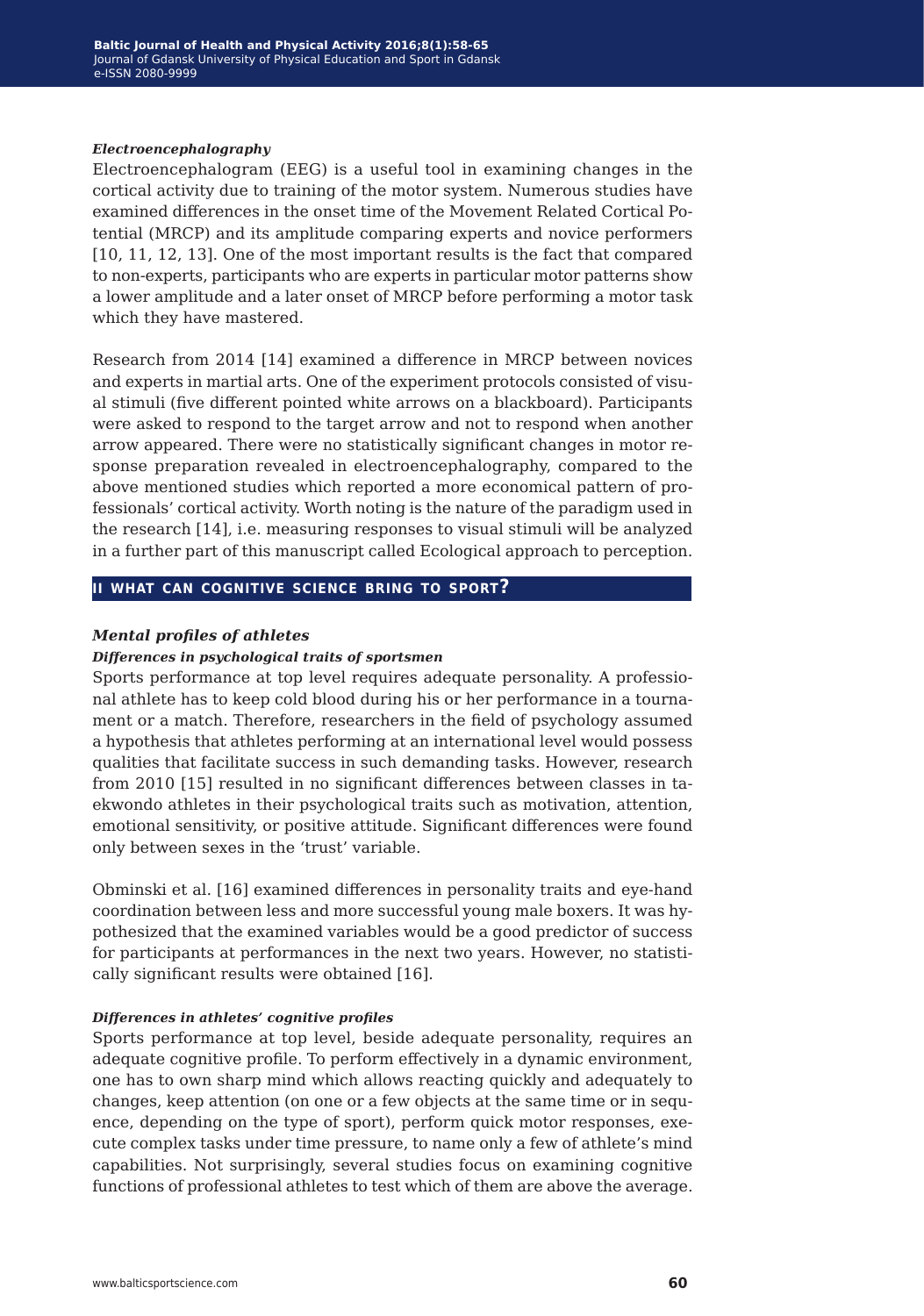#### *Electroencephalography*

Electroencephalogram (EEG) is a useful tool in examining changes in the cortical activity due to training of the motor system. Numerous studies have examined differences in the onset time of the Movement Related Cortical Potential (MRCP) and its amplitude comparing experts and novice performers [10, 11, 12, 13]. One of the most important results is the fact that compared to non-experts, participants who are experts in particular motor patterns show a lower amplitude and a later onset of MRCP before performing a motor task which they have mastered.

Research from 2014 [14] examined a difference in MRCP between novices and experts in martial arts. One of the experiment protocols consisted of visual stimuli (five different pointed white arrows on a blackboard). Participants were asked to respond to the target arrow and not to respond when another arrow appeared. There were no statistically significant changes in motor response preparation revealed in electroencephalography, compared to the above mentioned studies which reported a more economical pattern of professionals' cortical activity. Worth noting is the nature of the paradigm used in the research [14], i.e. measuring responses to visual stimuli will be analyzed in a further part of this manuscript called Ecological approach to perception.

#### **ii what can cognitive science bring to sport?**

#### *Mental profiles of athletes*

#### *Differences in psychological traits of sportsmen*

Sports performance at top level requires adequate personality. A professional athlete has to keep cold blood during his or her performance in a tournament or a match. Therefore, researchers in the field of psychology assumed a hypothesis that athletes performing at an international level would possess qualities that facilitate success in such demanding tasks. However, research from 2010 [15] resulted in no significant differences between classes in taekwondo athletes in their psychological traits such as motivation, attention, emotional sensitivity, or positive attitude. Significant differences were found only between sexes in the 'trust' variable.

Obminski et al. [16] examined differences in personality traits and eye-hand coordination between less and more successful young male boxers. It was hypothesized that the examined variables would be a good predictor of success for participants at performances in the next two years. However, no statistically significant results were obtained [16].

#### *Differences in athletes' cognitive profiles*

Sports performance at top level, beside adequate personality, requires an adequate cognitive profile. To perform effectively in a dynamic environment, one has to own sharp mind which allows reacting quickly and adequately to changes, keep attention (on one or a few objects at the same time or in sequence, depending on the type of sport), perform quick motor responses, execute complex tasks under time pressure, to name only a few of athlete's mind capabilities. Not surprisingly, several studies focus on examining cognitive functions of professional athletes to test which of them are above the average.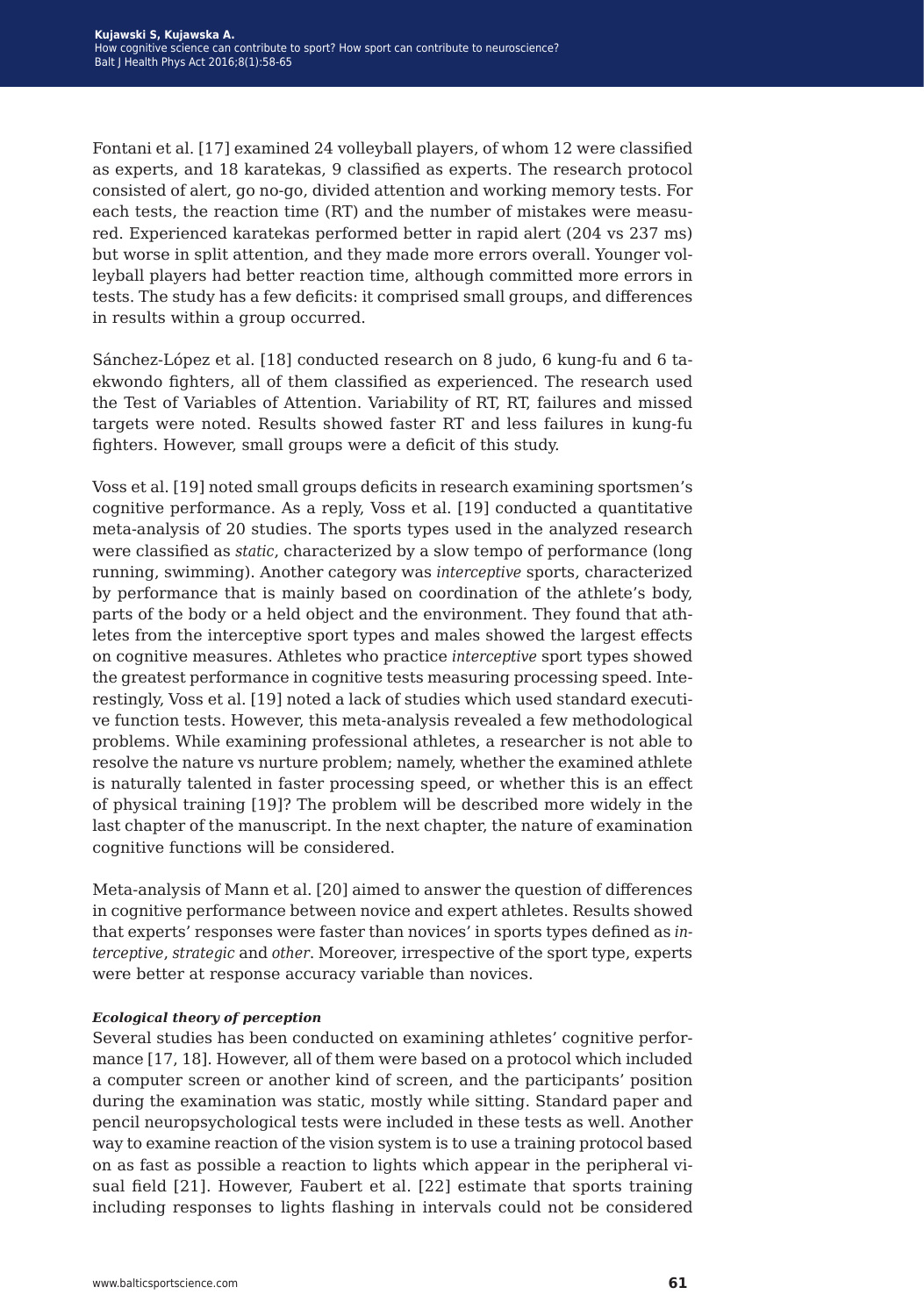Fontani et al. [17] examined 24 volleyball players, of whom 12 were classified as experts, and 18 karatekas, 9 classified as experts. The research protocol consisted of alert, go no-go, divided attention and working memory tests. For each tests, the reaction time (RT) and the number of mistakes were measured. Experienced karatekas performed better in rapid alert (204 vs 237 ms) but worse in split attention, and they made more errors overall. Younger volleyball players had better reaction time, although committed more errors in tests. The study has a few deficits: it comprised small groups, and differences in results within a group occurred.

Sánchez-López et al. [18] conducted research on 8 judo, 6 kung-fu and 6 taekwondo fighters, all of them classified as experienced. The research used the Test of Variables of Attention. Variability of RT, RT, failures and missed targets were noted. Results showed faster RT and less failures in kung-fu fighters. However, small groups were a deficit of this study.

Voss et al. [19] noted small groups deficits in research examining sportsmen's cognitive performance. As a reply, Voss et al. [19] conducted a quantitative meta-analysis of 20 studies. The sports types used in the analyzed research were classified as *static*, characterized by a slow tempo of performance (long running, swimming). Another category was *interceptive* sports, characterized by performance that is mainly based on coordination of the athlete's body, parts of the body or a held object and the environment. They found that athletes from the interceptive sport types and males showed the largest effects on cognitive measures. Athletes who practice *interceptive* sport types showed the greatest performance in cognitive tests measuring processing speed. Interestingly, Voss et al. [19] noted a lack of studies which used standard executive function tests. However, this meta-analysis revealed a few methodological problems. While examining professional athletes, a researcher is not able to resolve the nature vs nurture problem; namely, whether the examined athlete is naturally talented in faster processing speed, or whether this is an effect of physical training [19]? The problem will be described more widely in the last chapter of the manuscript. In the next chapter, the nature of examination cognitive functions will be considered.

Meta-analysis of Mann et al. [20] aimed to answer the question of differences in cognitive performance between novice and expert athletes. Results showed that experts' responses were faster than novices' in sports types defined as *interceptive*, *strategic* and *other*. Moreover, irrespective of the sport type, experts were better at response accuracy variable than novices.

#### *Ecological theory of perception*

Several studies has been conducted on examining athletes' cognitive performance [17, 18]. However, all of them were based on a protocol which included a computer screen or another kind of screen, and the participants' position during the examination was static, mostly while sitting. Standard paper and pencil neuropsychological tests were included in these tests as well. Another way to examine reaction of the vision system is to use a training protocol based on as fast as possible a reaction to lights which appear in the peripheral visual field [21]. However, Faubert et al. [22] estimate that sports training including responses to lights flashing in intervals could not be considered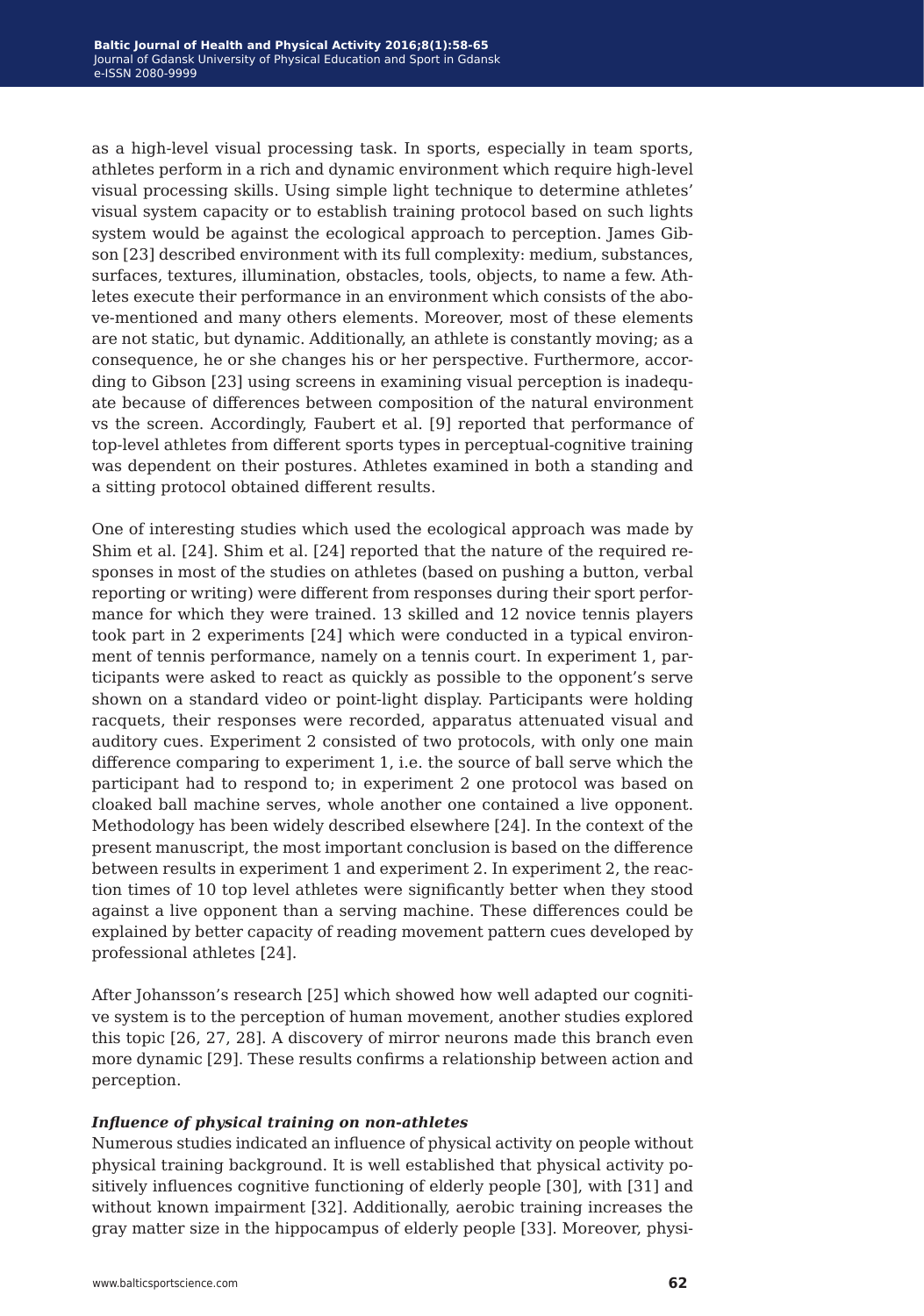as a high-level visual processing task. In sports, especially in team sports, athletes perform in a rich and dynamic environment which require high-level visual processing skills. Using simple light technique to determine athletes' visual system capacity or to establish training protocol based on such lights system would be against the ecological approach to perception. James Gibson [23] described environment with its full complexity: medium, substances, surfaces, textures, illumination, obstacles, tools, objects, to name a few. Athletes execute their performance in an environment which consists of the above-mentioned and many others elements. Moreover, most of these elements are not static, but dynamic. Additionally, an athlete is constantly moving; as a consequence, he or she changes his or her perspective. Furthermore, according to Gibson [23] using screens in examining visual perception is inadequate because of differences between composition of the natural environment vs the screen. Accordingly, Faubert et al. [9] reported that performance of top-level athletes from different sports types in perceptual-cognitive training was dependent on their postures. Athletes examined in both a standing and a sitting protocol obtained different results.

One of interesting studies which used the ecological approach was made by Shim et al. [24]. Shim et al. [24] reported that the nature of the required responses in most of the studies on athletes (based on pushing a button, verbal reporting or writing) were different from responses during their sport performance for which they were trained. 13 skilled and 12 novice tennis players took part in 2 experiments [24] which were conducted in a typical environment of tennis performance, namely on a tennis court. In experiment 1, participants were asked to react as quickly as possible to the opponent's serve shown on a standard video or point-light display. Participants were holding racquets, their responses were recorded, apparatus attenuated visual and auditory cues. Experiment 2 consisted of two protocols, with only one main difference comparing to experiment 1, i.e. the source of ball serve which the participant had to respond to; in experiment 2 one protocol was based on cloaked ball machine serves, whole another one contained a live opponent. Methodology has been widely described elsewhere [24]. In the context of the present manuscript, the most important conclusion is based on the difference between results in experiment 1 and experiment 2. In experiment 2, the reaction times of 10 top level athletes were significantly better when they stood against a live opponent than a serving machine. These differences could be explained by better capacity of reading movement pattern cues developed by professional athletes [24].

After Johansson's research [25] which showed how well adapted our cognitive system is to the perception of human movement, another studies explored this topic [26, 27, 28]. A discovery of mirror neurons made this branch even more dynamic [29]. These results confirms a relationship between action and perception.

#### *Influence of physical training on non-athletes*

Numerous studies indicated an influence of physical activity on people without physical training background. It is well established that physical activity positively influences cognitive functioning of elderly people [30], with [31] and without known impairment [32]. Additionally, aerobic training increases the gray matter size in the hippocampus of elderly people [33]. Moreover, physi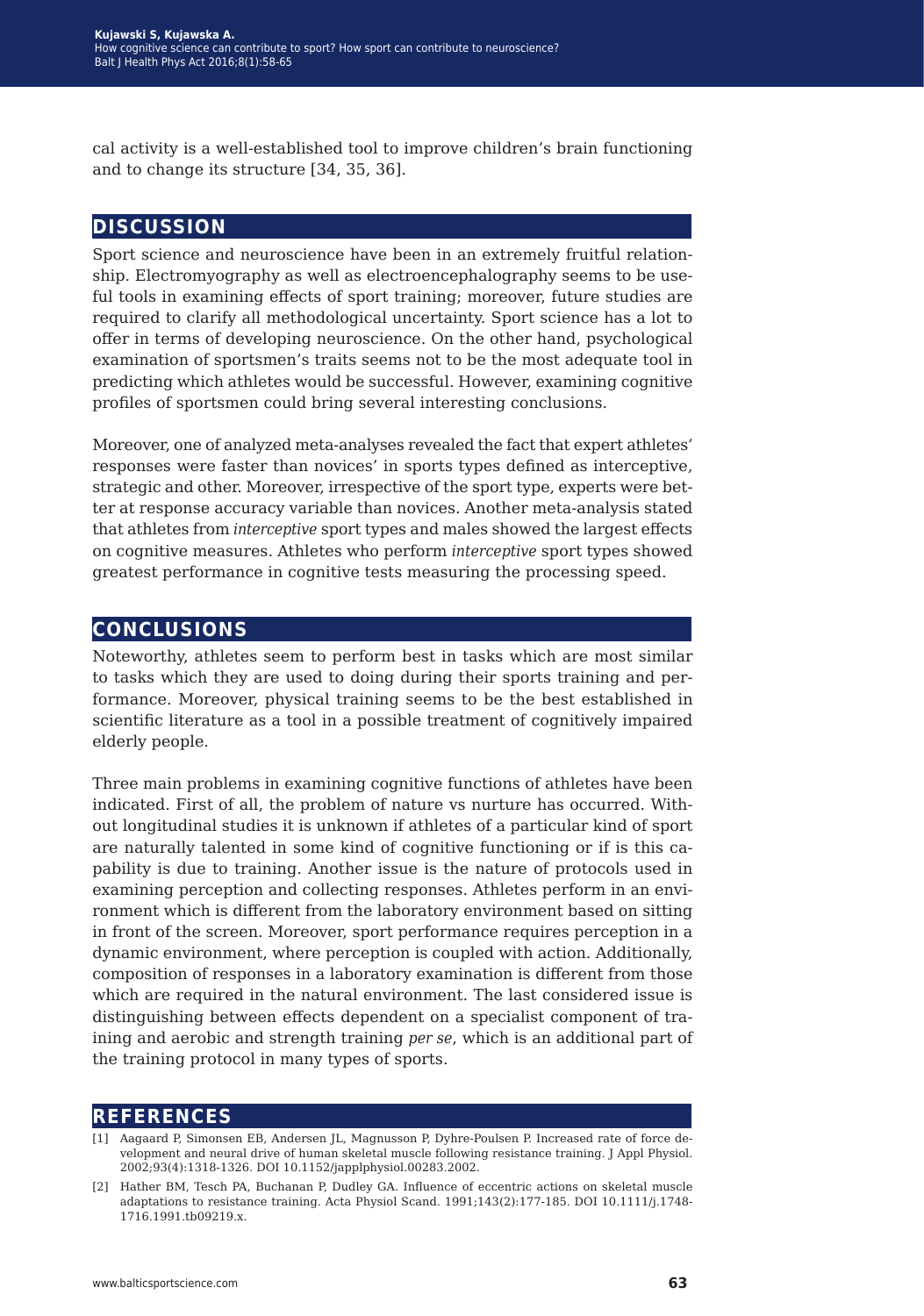cal activity is a well-established tool to improve children's brain functioning and to change its structure [34, 35, 36].

### **discussion**

Sport science and neuroscience have been in an extremely fruitful relationship. Electromyography as well as electroencephalography seems to be useful tools in examining effects of sport training; moreover, future studies are required to clarify all methodological uncertainty. Sport science has a lot to offer in terms of developing neuroscience. On the other hand, psychological examination of sportsmen's traits seems not to be the most adequate tool in predicting which athletes would be successful. However, examining cognitive profiles of sportsmen could bring several interesting conclusions.

Moreover, one of analyzed meta-analyses revealed the fact that expert athletes' responses were faster than novices' in sports types defined as interceptive, strategic and other. Moreover, irrespective of the sport type, experts were better at response accuracy variable than novices. Another meta-analysis stated that athletes from *interceptive* sport types and males showed the largest effects on cognitive measures. Athletes who perform *interceptive* sport types showed greatest performance in cognitive tests measuring the processing speed.

## **conclusions**

Noteworthy, athletes seem to perform best in tasks which are most similar to tasks which they are used to doing during their sports training and performance. Moreover, physical training seems to be the best established in scientific literature as a tool in a possible treatment of cognitively impaired elderly people.

Three main problems in examining cognitive functions of athletes have been indicated. First of all, the problem of nature vs nurture has occurred. Without longitudinal studies it is unknown if athletes of a particular kind of sport are naturally talented in some kind of cognitive functioning or if is this capability is due to training. Another issue is the nature of protocols used in examining perception and collecting responses. Athletes perform in an environment which is different from the laboratory environment based on sitting in front of the screen. Moreover, sport performance requires perception in a dynamic environment, where perception is coupled with action. Additionally, composition of responses in a laboratory examination is different from those which are required in the natural environment. The last considered issue is distinguishing between effects dependent on a specialist component of training and aerobic and strength training *per se*, which is an additional part of the training protocol in many types of sports.

#### **references**

- [1] Aagaard P, Simonsen EB, Andersen JL, Magnusson P, Dyhre-Poulsen P. Increased rate of force development and neural drive of human skeletal muscle following resistance training. J Appl Physiol. 2002;93(4):1318-1326. DOI 10.1152/japplphysiol.00283.2002.
- [2] Hather BM, Tesch PA, Buchanan P, Dudley GA. Influence of eccentric actions on skeletal muscle adaptations to resistance training. Acta Physiol Scand. 1991;143(2):177-185. DOI 10.1111/j.1748- 1716.1991.tb09219.x.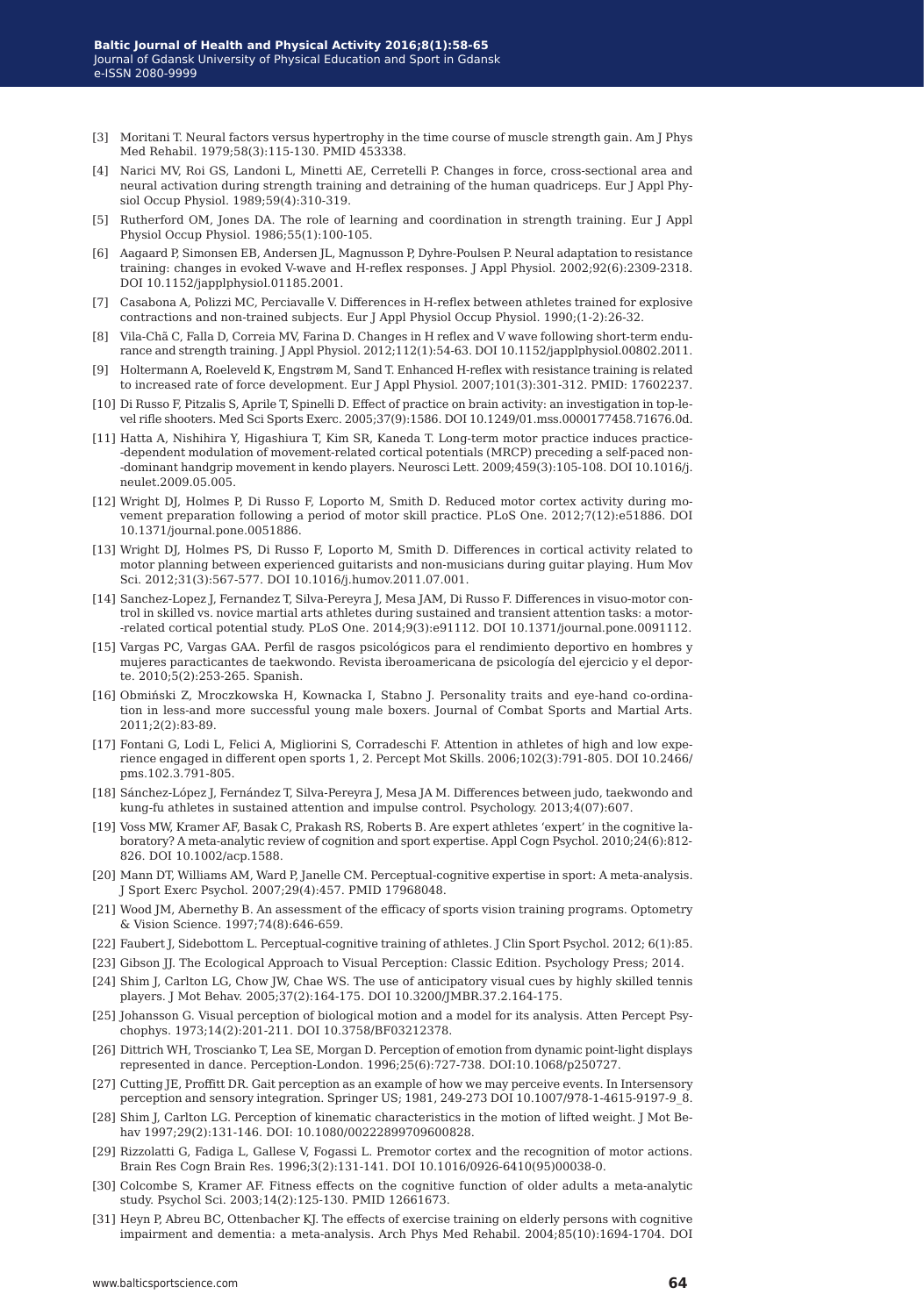- [3] Moritani T. Neural factors versus hypertrophy in the time course of muscle strength gain. Am J Phys Med Rehabil. 1979;58(3):115-130. PMID 453338.
- [4] Narici MV, Roi GS, Landoni L, Minetti AE, Cerretelli P. Changes in force, cross-sectional area and neural activation during strength training and detraining of the human quadriceps. Eur J Appl Physiol Occup Physiol. 1989;59(4):310-319.
- [5] Rutherford OM, Jones DA. The role of learning and coordination in strength training. Eur J Appl Physiol Occup Physiol. 1986;55(1):100-105.
- [6] Aagaard P, Simonsen EB, Andersen JL, Magnusson P, Dyhre-Poulsen P. Neural adaptation to resistance training: changes in evoked V-wave and H-reflex responses. J Appl Physiol. 2002;92(6):2309-2318. DOI 10.1152/japplphysiol.01185.2001.
- [7] Casabona A, Polizzi MC, Perciavalle V. Differences in H-reflex between athletes trained for explosive contractions and non-trained subjects. Eur J Appl Physiol Occup Physiol. 1990;(1-2):26-32.
- [8] Vila-Chã C, Falla D, Correia MV, Farina D. Changes in H reflex and V wave following short-term endurance and strength training. J Appl Physiol. 2012;112(1):54-63. DOI 10.1152/japplphysiol.00802.2011.
- [9] Holtermann A, Roeleveld K, Engstrøm M, Sand T. Enhanced H-reflex with resistance training is related to increased rate of force development. Eur J Appl Physiol. 2007;101(3):301-312. PMID: 17602237.
- [10] Di Russo F, Pitzalis S, Aprile T, Spinelli D. Effect of practice on brain activity: an investigation in top-level rifle shooters. Med Sci Sports Exerc. 2005;37(9):1586. DOI 10.1249/01.mss.0000177458.71676.0d.
- [11] Hatta A, Nishihira Y, Higashiura T, Kim SR, Kaneda T. Long-term motor practice induces practice- -dependent modulation of movement-related cortical potentials (MRCP) preceding a self-paced non- -dominant handgrip movement in kendo players. Neurosci Lett. 2009;459(3):105-108. DOI 10.1016/j. neulet.2009.05.005.
- [12] Wright DJ, Holmes P, Di Russo F, Loporto M, Smith D. Reduced motor cortex activity during movement preparation following a period of motor skill practice. PLoS One. 2012;7(12):e51886. DOI 10.1371/journal.pone.0051886.
- [13] Wright DJ, Holmes PS, Di Russo F, Loporto M, Smith D. Differences in cortical activity related to motor planning between experienced guitarists and non-musicians during guitar playing. Hum Mov Sci. 2012;31(3):567-577. DOI 10.1016/j.humov.2011.07.001.
- [14] Sanchez-Lopez J, Fernandez T, Silva-Pereyra J, Mesa JAM, Di Russo F. Differences in visuo-motor control in skilled vs. novice martial arts athletes during sustained and transient attention tasks: a motor- -related cortical potential study. PLoS One. 2014;9(3):e91112. DOI 10.1371/journal.pone.0091112.
- [15] Vargas PC, Vargas GAA. Perfil de rasgos psicológicos para el rendimiento deportivo en hombres y mujeres paracticantes de taekwondo. Revista iberoamericana de psicología del ejercicio y el deporte. 2010;5(2):253-265. Spanish.
- [16] Obmiński Z, Mroczkowska H, Kownacka I, Stabno J. Personality traits and eye-hand co-ordination in less-and more successful young male boxers. Journal of Combat Sports and Martial Arts. 2011;2(2):83-89.
- [17] Fontani G, Lodi L, Felici A, Migliorini S, Corradeschi F. Attention in athletes of high and low experience engaged in different open sports 1, 2. Percept Mot Skills. 2006;102(3):791-805. DOI 10.2466/ pms.102.3.791-805.
- [18] Sánchez-López J, Fernández T, Silva-Pereyra J, Mesa JA M. Differences between judo, taekwondo and kung-fu athletes in sustained attention and impulse control. Psychology. 2013;4(07):607.
- [19] Voss MW, Kramer AF, Basak C, Prakash RS, Roberts B. Are expert athletes 'expert' in the cognitive laboratory? A meta-analytic review of cognition and sport expertise. Appl Cogn Psychol. 2010;24(6):812- 826. DOI 10.1002/acp.1588.
- [20] Mann DT, Williams AM, Ward P, Janelle CM. Perceptual-cognitive expertise in sport: A meta-analysis. J Sport Exerc Psychol. 2007;29(4):457. PMID 17968048.
- [21] Wood JM, Abernethy B. An assessment of the efficacy of sports vision training programs. Optometry & Vision Science. 1997;74(8):646-659.
- [22] Faubert J, Sidebottom L. Perceptual-cognitive training of athletes. J Clin Sport Psychol. 2012; 6(1):85.
- [23] Gibson JJ. The Ecological Approach to Visual Perception: Classic Edition. Psychology Press; 2014.
- [24] Shim J, Carlton LG, Chow JW, Chae WS. The use of anticipatory visual cues by highly skilled tennis players. J Mot Behav. 2005;37(2):164-175. DOI 10.3200/JMBR.37.2.164-175.
- [25] Johansson G. Visual perception of biological motion and a model for its analysis. Atten Percept Psychophys. 1973;14(2):201-211. DOI 10.3758/BF03212378.
- [26] Dittrich WH, Troscianko T, Lea SE, Morgan D. Perception of emotion from dynamic point-light displays represented in dance. Perception-London. 1996;25(6):727-738. DOI:10.1068/p250727.
- [27] Cutting JE, Proffitt DR. Gait perception as an example of how we may perceive events. In Intersensory perception and sensory integration. Springer US; 1981, 249-273 DOI 10.1007/978-1-4615-9197-9\_8.
- [28] Shim J, Carlton LG. Perception of kinematic characteristics in the motion of lifted weight. J Mot Behav 1997;29(2):131-146. DOI: 10.1080/00222899709600828.
- [29] Rizzolatti G, Fadiga L, Gallese V, Fogassi L. Premotor cortex and the recognition of motor actions. Brain Res Cogn Brain Res. 1996;3(2):131-141. DOI 10.1016/0926-6410(95)00038-0.
- [30] Colcombe S, Kramer AF. Fitness effects on the cognitive function of older adults a meta-analytic study. Psychol Sci. 2003;14(2):125-130. PMID 12661673.
- [31] Heyn P, Abreu BC, Ottenbacher KJ. The effects of exercise training on elderly persons with cognitive impairment and dementia: a meta-analysis. Arch Phys Med Rehabil. 2004;85(10):1694-1704. DOI